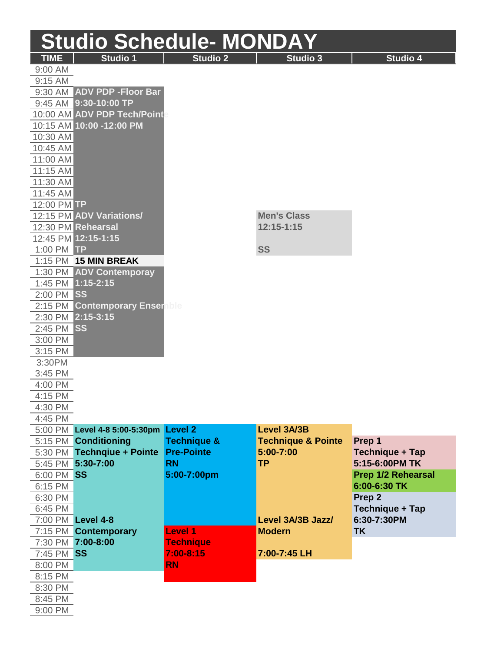| <b>Studio Schedule- MONDAY</b> |                                       |                        |                               |                           |  |  |
|--------------------------------|---------------------------------------|------------------------|-------------------------------|---------------------------|--|--|
| <b>TIME</b>                    | Studio 1                              | <b>Studio 2</b>        | <b>Studio 3</b>               | Studio 4                  |  |  |
| 9:00 AM                        |                                       |                        |                               |                           |  |  |
| 9:15 AM                        |                                       |                        |                               |                           |  |  |
|                                | 9:30 AM ADV PDP - Floor Bar           |                        |                               |                           |  |  |
|                                | 9:45 AM 9:30-10:00 TP                 |                        |                               |                           |  |  |
|                                | 10:00 AM ADV PDP Tech/Point           |                        |                               |                           |  |  |
|                                | 10:15 AM 10:00 -12:00 PM              |                        |                               |                           |  |  |
| 10:30 AM                       |                                       |                        |                               |                           |  |  |
| 10:45 AM                       |                                       |                        |                               |                           |  |  |
| 11:00 AM                       |                                       |                        |                               |                           |  |  |
| 11:15 AM                       |                                       |                        |                               |                           |  |  |
| 11:30 AM                       |                                       |                        |                               |                           |  |  |
| 11:45 AM                       |                                       |                        |                               |                           |  |  |
| 12:00 PM TP                    |                                       |                        |                               |                           |  |  |
|                                | 12:15 PM ADV Variations/              |                        | <b>Men's Class</b>            |                           |  |  |
|                                | 12:30 PM Rehearsal                    |                        | 12:15-1:15                    |                           |  |  |
|                                | 12:45 PM 12:15-1:15                   |                        |                               |                           |  |  |
| 1:00 PM TP                     |                                       |                        | <b>SS</b>                     |                           |  |  |
|                                | 1:15 PM 15 MIN BREAK                  |                        |                               |                           |  |  |
|                                | 1:30 PM ADV Contemporay               |                        |                               |                           |  |  |
|                                | 1:45 PM 1:15-2:15                     |                        |                               |                           |  |  |
| 2:00 PM SS                     |                                       |                        |                               |                           |  |  |
| 2:15 PM                        | <b>Contemporary Ensemble</b>          |                        |                               |                           |  |  |
|                                | 2:30 PM 2:15-3:15                     |                        |                               |                           |  |  |
| 2:45 PM SS                     |                                       |                        |                               |                           |  |  |
| 3:00 PM                        |                                       |                        |                               |                           |  |  |
| 3:15 PM                        |                                       |                        |                               |                           |  |  |
| 3:30PM                         |                                       |                        |                               |                           |  |  |
| 3:45 PM                        |                                       |                        |                               |                           |  |  |
| 4:00 PM                        |                                       |                        |                               |                           |  |  |
| 4:15 PM                        |                                       |                        |                               |                           |  |  |
| 4:30 PM                        |                                       |                        |                               |                           |  |  |
| 4:45 PM                        |                                       |                        |                               |                           |  |  |
|                                | 5:00 PM Level 4-8 5:00-5:30pm Level 2 |                        | Level 3A/3B                   |                           |  |  |
|                                | 5:15 PM Conditioning                  | <b>Technique &amp;</b> | <b>Technique &amp; Pointe</b> | Prep 1                    |  |  |
|                                | 5:30 PM Technqiue + Pointe            | <b>Pre-Pointe</b>      | 5:00-7:00                     | Technique + Tap           |  |  |
|                                | 5:45 PM 5:30-7:00                     | <b>RN</b>              | <b>TP</b>                     | 5:15-6:00PM TK            |  |  |
| 6:00 PM SS                     |                                       | 5:00-7:00pm            |                               | <b>Prep 1/2 Rehearsal</b> |  |  |
| 6:15 PM                        |                                       |                        |                               | 6:00-6:30 TK              |  |  |
| 6:30 PM                        |                                       |                        |                               | Prep 2                    |  |  |
| 6:45 PM                        |                                       |                        |                               | Technique + Tap           |  |  |
|                                | 7:00 PM Level 4-8                     |                        | Level 3A/3B Jazz/             | 6:30-7:30PM               |  |  |
|                                | 7:15 PM Contemporary                  | <b>Level 1</b>         | <b>Modern</b>                 | <b>TK</b>                 |  |  |
|                                | 7:30 PM 7:00-8:00                     | <b>Technique</b>       |                               |                           |  |  |
| 7:45 PM SS                     |                                       | $7:00 - 8:15$          | 7:00-7:45 LH                  |                           |  |  |
| 8:00 PM                        |                                       | <b>RN</b>              |                               |                           |  |  |
| 8:15 PM                        |                                       |                        |                               |                           |  |  |
| 8:30 PM                        |                                       |                        |                               |                           |  |  |
| 8:45 PM                        |                                       |                        |                               |                           |  |  |
| 9:00 PM                        |                                       |                        |                               |                           |  |  |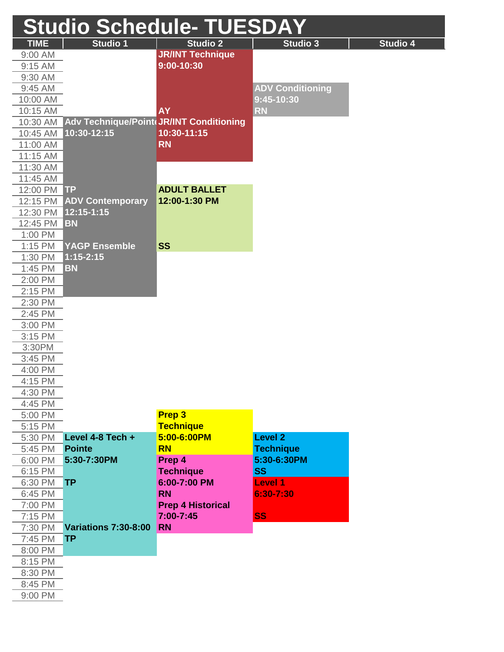| <b>Studio Schedule- TUESDAY</b> |                                                  |                          |                         |          |  |
|---------------------------------|--------------------------------------------------|--------------------------|-------------------------|----------|--|
| <b>TIME</b>                     | <b>Studio 1</b>                                  | <b>Studio 2</b>          | <b>Studio 3</b>         | Studio 4 |  |
| 9:00 AM                         |                                                  | <b>JR/INT Technique</b>  |                         |          |  |
| 9:15 AM                         |                                                  | 9:00-10:30               |                         |          |  |
| 9:30 AM                         |                                                  |                          |                         |          |  |
| 9:45 AM                         |                                                  |                          | <b>ADV Conditioning</b> |          |  |
| 10:00 AM                        |                                                  |                          | 9:45-10:30              |          |  |
| 10:15 AM                        |                                                  | <b>AY</b>                | <b>RN</b>               |          |  |
|                                 | 10:30 AM Adv Technique/Point JR/INT Conditioning |                          |                         |          |  |
| 10:45 AM                        | 10:30-12:15                                      | 10:30-11:15              |                         |          |  |
| 11:00 AM                        |                                                  | <b>RN</b>                |                         |          |  |
| 11:15 AM                        |                                                  |                          |                         |          |  |
| 11:30 AM                        |                                                  |                          |                         |          |  |
| 11:45 AM                        |                                                  |                          |                         |          |  |
| 12:00 PM TP                     |                                                  | <b>ADULT BALLET</b>      |                         |          |  |
|                                 | 12:15 PM ADV Contemporary                        | 12:00-1:30 PM            |                         |          |  |
| 12:30 PM                        | 12:15-1:15                                       |                          |                         |          |  |
| 12:45 PM BN                     |                                                  |                          |                         |          |  |
| 1:00 PM                         |                                                  |                          |                         |          |  |
| 1:15 PM                         | <b>YAGP Ensemble</b>                             | <b>SS</b>                |                         |          |  |
| 1:30 PM                         | $1:15 - 2:15$                                    |                          |                         |          |  |
| 1:45 PM                         | <b>BN</b>                                        |                          |                         |          |  |
| 2:00 PM                         |                                                  |                          |                         |          |  |
| 2:15 PM                         |                                                  |                          |                         |          |  |
| 2:30 PM                         |                                                  |                          |                         |          |  |
| 2:45 PM                         |                                                  |                          |                         |          |  |
| 3:00 PM                         |                                                  |                          |                         |          |  |
| 3:15 PM                         |                                                  |                          |                         |          |  |
| 3:30PM                          |                                                  |                          |                         |          |  |
| 3:45 PM                         |                                                  |                          |                         |          |  |
| 4:00 PM                         |                                                  |                          |                         |          |  |
| 4:15 PM                         |                                                  |                          |                         |          |  |
| 4:30 PM                         |                                                  |                          |                         |          |  |
| 4:45 PM                         |                                                  |                          |                         |          |  |
| 5:00 PM                         |                                                  | Prep 3                   |                         |          |  |
| 5:15 PM                         |                                                  | <b>Technique</b>         |                         |          |  |
| 5:30 PM                         | Level 4-8 Tech +                                 | 5:00-6:00PM              | <b>Level 2</b>          |          |  |
| 5:45 PM                         | <b>Pointe</b>                                    | <b>RN</b>                | <b>Technique</b>        |          |  |
| 6:00 PM                         | 5:30-7:30PM                                      | Prep 4                   | 5:30-6:30PM             |          |  |
| 6:15 PM                         |                                                  | <b>Technique</b>         | <b>SS</b>               |          |  |
| 6:30 PM                         | <b>TP</b>                                        | 6:00-7:00 PM             | <b>Level 1</b>          |          |  |
| 6:45 PM                         |                                                  | <b>RN</b>                | 6:30-7:30               |          |  |
| 7:00 PM                         |                                                  | <b>Prep 4 Historical</b> |                         |          |  |
| 7:15 PM                         |                                                  | 7:00-7:45                | <b>SS</b>               |          |  |
| 7:30 PM                         | <b>Variations 7:30-8:00</b>                      | <b>RN</b>                |                         |          |  |
| 7:45 PM                         | <b>TP</b>                                        |                          |                         |          |  |
| 8:00 PM                         |                                                  |                          |                         |          |  |
| 8:15 PM                         |                                                  |                          |                         |          |  |
| 8:30 PM                         |                                                  |                          |                         |          |  |
| 8:45 PM                         |                                                  |                          |                         |          |  |
| 9:00 PM                         |                                                  |                          |                         |          |  |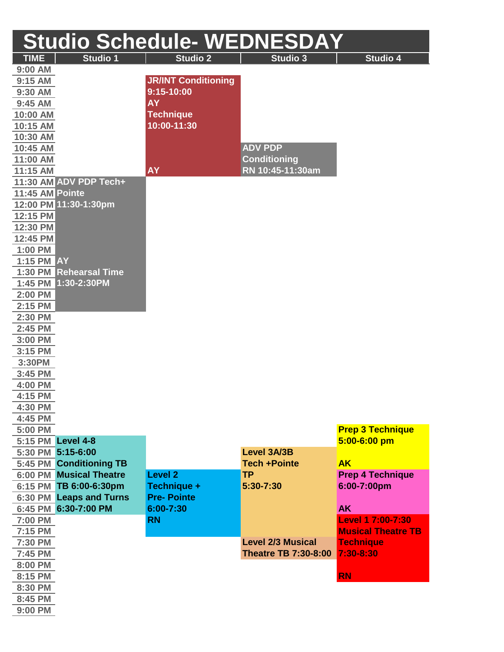| <b>Studio Schedule- WEDNESDAY</b><br><b>TIME</b><br>Studio 4<br><b>Studio 1</b><br><b>Studio 3</b><br><b>Studio 2</b><br>9:00 AM<br>9:15 AM<br><b>JR/INT Conditioning</b><br>9:30 AM<br>9:15-10:00<br><b>AY</b><br>9:45 AM<br>10:00 AM<br><b>Technique</b><br>10:00-11:30<br>10:15 AM<br>10:30 AM<br><b>ADV PDP</b><br>10:45 AM<br><b>Conditioning</b><br>11:00 AM<br>RN 10:45-11:30am<br>11:15 AM<br><b>AY</b><br>11:30 AM ADV PDP Tech+<br>11:45 AM Pointe<br>12:00 PM 11:30-1:30pm<br>12:15 PM<br>12:30 PM<br>12:45 PM |
|---------------------------------------------------------------------------------------------------------------------------------------------------------------------------------------------------------------------------------------------------------------------------------------------------------------------------------------------------------------------------------------------------------------------------------------------------------------------------------------------------------------------------|
|                                                                                                                                                                                                                                                                                                                                                                                                                                                                                                                           |
|                                                                                                                                                                                                                                                                                                                                                                                                                                                                                                                           |
|                                                                                                                                                                                                                                                                                                                                                                                                                                                                                                                           |
|                                                                                                                                                                                                                                                                                                                                                                                                                                                                                                                           |
|                                                                                                                                                                                                                                                                                                                                                                                                                                                                                                                           |
|                                                                                                                                                                                                                                                                                                                                                                                                                                                                                                                           |
|                                                                                                                                                                                                                                                                                                                                                                                                                                                                                                                           |
|                                                                                                                                                                                                                                                                                                                                                                                                                                                                                                                           |
|                                                                                                                                                                                                                                                                                                                                                                                                                                                                                                                           |
|                                                                                                                                                                                                                                                                                                                                                                                                                                                                                                                           |
|                                                                                                                                                                                                                                                                                                                                                                                                                                                                                                                           |
|                                                                                                                                                                                                                                                                                                                                                                                                                                                                                                                           |
|                                                                                                                                                                                                                                                                                                                                                                                                                                                                                                                           |
|                                                                                                                                                                                                                                                                                                                                                                                                                                                                                                                           |
|                                                                                                                                                                                                                                                                                                                                                                                                                                                                                                                           |
|                                                                                                                                                                                                                                                                                                                                                                                                                                                                                                                           |
|                                                                                                                                                                                                                                                                                                                                                                                                                                                                                                                           |
| 1:00 PM                                                                                                                                                                                                                                                                                                                                                                                                                                                                                                                   |
| <b>1:15 PM AY</b>                                                                                                                                                                                                                                                                                                                                                                                                                                                                                                         |
| <b>Rehearsal Time</b><br>1:30 PM                                                                                                                                                                                                                                                                                                                                                                                                                                                                                          |
| 1:30-2:30PM<br>1:45 PM                                                                                                                                                                                                                                                                                                                                                                                                                                                                                                    |
| 2:00 PM                                                                                                                                                                                                                                                                                                                                                                                                                                                                                                                   |
| 2:15 PM                                                                                                                                                                                                                                                                                                                                                                                                                                                                                                                   |
| 2:30 PM                                                                                                                                                                                                                                                                                                                                                                                                                                                                                                                   |
| 2:45 PM                                                                                                                                                                                                                                                                                                                                                                                                                                                                                                                   |
| 3:00 PM                                                                                                                                                                                                                                                                                                                                                                                                                                                                                                                   |
| 3:15 PM                                                                                                                                                                                                                                                                                                                                                                                                                                                                                                                   |
| 3:30PM                                                                                                                                                                                                                                                                                                                                                                                                                                                                                                                    |
| 3:45 PM                                                                                                                                                                                                                                                                                                                                                                                                                                                                                                                   |
| 4:00 PM                                                                                                                                                                                                                                                                                                                                                                                                                                                                                                                   |
| 4:15 PM                                                                                                                                                                                                                                                                                                                                                                                                                                                                                                                   |
| 4:30 PM                                                                                                                                                                                                                                                                                                                                                                                                                                                                                                                   |
| 4:45 PM                                                                                                                                                                                                                                                                                                                                                                                                                                                                                                                   |
| <b>Prep 3 Technique</b><br>5:00 PM                                                                                                                                                                                                                                                                                                                                                                                                                                                                                        |
| 5:15 PM Level 4-8<br>$5:00 - 6:00$ pm<br>Level 3A/3B                                                                                                                                                                                                                                                                                                                                                                                                                                                                      |
| 5:30 PM 5:15-6:00                                                                                                                                                                                                                                                                                                                                                                                                                                                                                                         |
| 5:45 PM Conditioning TB<br><b>Tech +Pointe</b><br><b>AK</b><br><b>6:00 PM Musical Theatre</b><br><b>Level 2</b><br><b>TP</b><br><b>Prep 4 Technique</b>                                                                                                                                                                                                                                                                                                                                                                   |
|                                                                                                                                                                                                                                                                                                                                                                                                                                                                                                                           |
| 6:00-7:00pm<br>6:15 PM TB 6:00-6:30pm<br>Technique +<br>5:30-7:30<br>6:30 PM Leaps and Turns<br><b>Pre-Pointe</b>                                                                                                                                                                                                                                                                                                                                                                                                         |
| 6:45 PM 6:30-7:00 PM<br>6:00-7:30<br><b>AK</b>                                                                                                                                                                                                                                                                                                                                                                                                                                                                            |
| <b>RN</b><br><b>Level 1 7:00-7:30</b><br>7:00 PM                                                                                                                                                                                                                                                                                                                                                                                                                                                                          |
| <b>Musical Theatre TB</b><br>7:15 PM                                                                                                                                                                                                                                                                                                                                                                                                                                                                                      |
| <b>Level 2/3 Musical</b><br><b>Technique</b><br>7:30 PM                                                                                                                                                                                                                                                                                                                                                                                                                                                                   |
| 7:30-8:30<br><b>Theatre TB 7:30-8:00</b><br>7:45 PM                                                                                                                                                                                                                                                                                                                                                                                                                                                                       |
| 8:00 PM                                                                                                                                                                                                                                                                                                                                                                                                                                                                                                                   |
| <b>RN</b><br>8:15 PM                                                                                                                                                                                                                                                                                                                                                                                                                                                                                                      |
| 8:30 PM                                                                                                                                                                                                                                                                                                                                                                                                                                                                                                                   |
| 8:45 PM                                                                                                                                                                                                                                                                                                                                                                                                                                                                                                                   |
| 9:00 PM                                                                                                                                                                                                                                                                                                                                                                                                                                                                                                                   |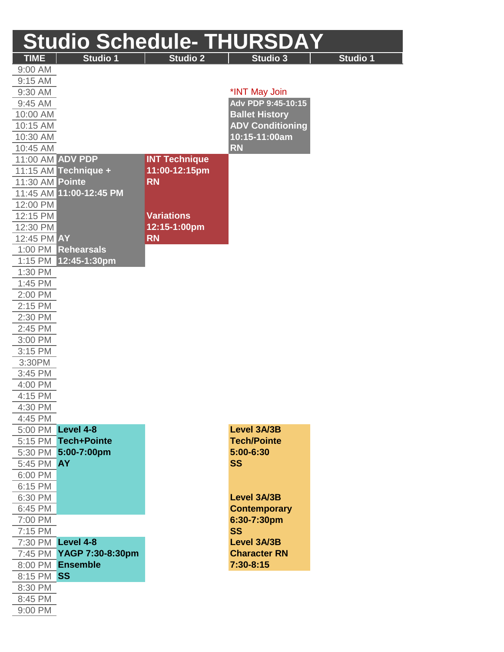| <b>Studio Schedule- THURSDAY</b> |                          |                      |                         |          |  |
|----------------------------------|--------------------------|----------------------|-------------------------|----------|--|
| <b>TIME</b>                      | Studio 1                 | <b>Studio 2</b>      | <b>Studio 3</b>         | Studio 1 |  |
| 9:00 AM                          |                          |                      |                         |          |  |
| 9:15 AM                          |                          |                      |                         |          |  |
| 9:30 AM                          |                          |                      | *INT May Join           |          |  |
| 9:45 AM                          |                          |                      | Adv PDP 9:45-10:15      |          |  |
| 10:00 AM                         |                          |                      | <b>Ballet History</b>   |          |  |
| 10:15 AM                         |                          |                      | <b>ADV Conditioning</b> |          |  |
| 10:30 AM                         |                          |                      | 10:15-11:00am           |          |  |
| 10:45 AM                         |                          |                      | <b>RN</b>               |          |  |
|                                  | 11:00 AM ADV PDP         | <b>INT Technique</b> |                         |          |  |
|                                  | 11:15 AM Technique +     | 11:00-12:15pm        |                         |          |  |
| 11:30 AM Pointe                  |                          | <b>RN</b>            |                         |          |  |
|                                  | 11:45 AM 11:00-12:45 PM  |                      |                         |          |  |
| 12:00 PM                         |                          |                      |                         |          |  |
| 12:15 PM                         |                          | <b>Variations</b>    |                         |          |  |
| 12:30 PM                         |                          | 12:15-1:00pm         |                         |          |  |
| 12:45 PM AY                      |                          | <b>RN</b>            |                         |          |  |
|                                  | 1:00 PM Rehearsals       |                      |                         |          |  |
|                                  | 1:15 PM 12:45-1:30pm     |                      |                         |          |  |
| 1:30 PM                          |                          |                      |                         |          |  |
| 1:45 PM                          |                          |                      |                         |          |  |
| 2:00 PM                          |                          |                      |                         |          |  |
| 2:15 PM                          |                          |                      |                         |          |  |
| 2:30 PM                          |                          |                      |                         |          |  |
| 2:45 PM<br>3:00 PM               |                          |                      |                         |          |  |
| 3:15 PM                          |                          |                      |                         |          |  |
| 3:30PM                           |                          |                      |                         |          |  |
| 3:45 PM                          |                          |                      |                         |          |  |
| 4:00 PM                          |                          |                      |                         |          |  |
| 4:15 PM                          |                          |                      |                         |          |  |
| 4:30 PM                          |                          |                      |                         |          |  |
| 4:45 PM                          |                          |                      |                         |          |  |
|                                  | 5:00 PM Level 4-8        |                      | Level 3A/3B             |          |  |
|                                  | 5:15 PM Tech+Pointe      |                      | <b>Tech/Pointe</b>      |          |  |
|                                  | 5:30 PM 5:00-7:00pm      |                      | 5:00-6:30               |          |  |
| 5:45 PM AY                       |                          |                      | <b>SS</b>               |          |  |
| 6:00 PM                          |                          |                      |                         |          |  |
| 6:15 PM                          |                          |                      |                         |          |  |
| 6:30 PM                          |                          |                      | Level 3A/3B             |          |  |
| 6:45 PM                          |                          |                      | <b>Contemporary</b>     |          |  |
| 7:00 PM                          |                          |                      | 6:30-7:30pm             |          |  |
| 7:15 PM                          |                          |                      | <b>SS</b>               |          |  |
|                                  | 7:30 PM Level 4-8        |                      | Level 3A/3B             |          |  |
|                                  | 7:45 PM YAGP 7:30-8:30pm |                      | <b>Character RN</b>     |          |  |
|                                  | 8:00 PM Ensemble         |                      | $7:30-8:15$             |          |  |
| 8:15 PM SS                       |                          |                      |                         |          |  |
| 8:30 PM                          |                          |                      |                         |          |  |
| 8:45 PM                          |                          |                      |                         |          |  |
| 9:00 PM                          |                          |                      |                         |          |  |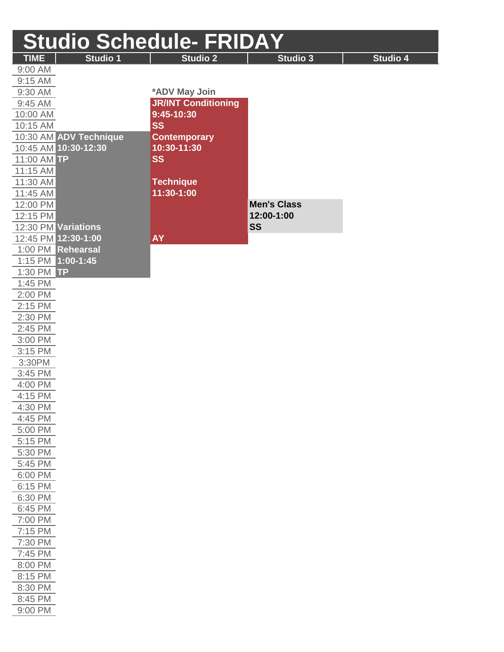|                                | <b>Studio Schedule- FRIDAY</b> |                    |          |
|--------------------------------|--------------------------------|--------------------|----------|
| <b>TIME</b><br><b>Studio 1</b> | <b>Studio 2</b>                | <b>Studio 3</b>    | Studio 4 |
| 9:00 AM                        |                                |                    |          |
| 9:15 AM                        |                                |                    |          |
| 9:30 AM                        | *ADV May Join                  |                    |          |
| 9:45 AM                        | <b>JR/INT Conditioning</b>     |                    |          |
| 10:00 AM                       | 9:45-10:30                     |                    |          |
| 10:15 AM                       | <b>SS</b>                      |                    |          |
| 10:30 AM ADV Technique         | <b>Contemporary</b>            |                    |          |
| 10:45 AM 10:30-12:30           | 10:30-11:30                    |                    |          |
| 11:00 AM TP                    | <b>SS</b>                      |                    |          |
| 11:15 AM                       |                                |                    |          |
| 11:30 AM                       | <b>Technique</b>               |                    |          |
| 11:45 AM                       | 11:30-1:00                     |                    |          |
| 12:00 PM                       |                                | <b>Men's Class</b> |          |
| 12:15 PM                       |                                | 12:00-1:00         |          |
| 12:30 PM Variations            |                                | <b>SS</b>          |          |
| 12:45 PM 12:30-1:00            | <b>AY</b>                      |                    |          |
| 1:00 PM Rehearsal              |                                |                    |          |
| 1:15 PM 1:00-1:45              |                                |                    |          |
| 1:30 PM TP                     |                                |                    |          |
| 1:45 PM                        |                                |                    |          |
| 2:00 PM                        |                                |                    |          |
| 2:15 PM                        |                                |                    |          |
| 2:30 PM                        |                                |                    |          |
| 2:45 PM                        |                                |                    |          |
| 3:00 PM                        |                                |                    |          |
| 3:15 PM                        |                                |                    |          |
| 3:30PM                         |                                |                    |          |
| 3:45 PM                        |                                |                    |          |
| 4:00 PM                        |                                |                    |          |
| 4:15 PM                        |                                |                    |          |
| 4:30 PM                        |                                |                    |          |
| 4:45 PM                        |                                |                    |          |
| 5:00 PM                        |                                |                    |          |
| 5:15 PM                        |                                |                    |          |
| 5:30 PM                        |                                |                    |          |
| 5:45 PM                        |                                |                    |          |
| 6:00 PM                        |                                |                    |          |
| 6:15 PM                        |                                |                    |          |
| 6:30 PM                        |                                |                    |          |
| 6:45 PM                        |                                |                    |          |
| 7:00 PM                        |                                |                    |          |
| 7:15 PM                        |                                |                    |          |
| 7:30 PM                        |                                |                    |          |
| 7:45 PM                        |                                |                    |          |
| 8:00 PM                        |                                |                    |          |
| 8:15 PM                        |                                |                    |          |
| 8:30 PM                        |                                |                    |          |
| 8:45 PM                        |                                |                    |          |
| 9:00 PM                        |                                |                    |          |
|                                |                                |                    |          |